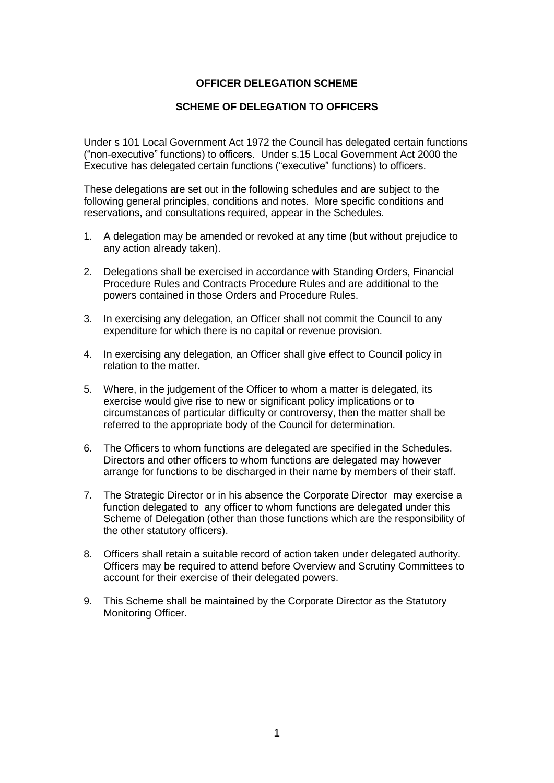### **OFFICER DELEGATION SCHEME**

### **SCHEME OF DELEGATION TO OFFICERS**

Under s 101 Local Government Act 1972 the Council has delegated certain functions ("non-executive" functions) to officers. Under s.15 Local Government Act 2000 the Executive has delegated certain functions ("executive" functions) to officers.

These delegations are set out in the following schedules and are subject to the following general principles, conditions and notes. More specific conditions and reservations, and consultations required, appear in the Schedules.

- 1. A delegation may be amended or revoked at any time (but without prejudice to any action already taken).
- 2. Delegations shall be exercised in accordance with Standing Orders, Financial Procedure Rules and Contracts Procedure Rules and are additional to the powers contained in those Orders and Procedure Rules.
- 3. In exercising any delegation, an Officer shall not commit the Council to any expenditure for which there is no capital or revenue provision.
- 4. In exercising any delegation, an Officer shall give effect to Council policy in relation to the matter.
- 5. Where, in the judgement of the Officer to whom a matter is delegated, its exercise would give rise to new or significant policy implications or to circumstances of particular difficulty or controversy, then the matter shall be referred to the appropriate body of the Council for determination.
- 6. The Officers to whom functions are delegated are specified in the Schedules. Directors and other officers to whom functions are delegated may however arrange for functions to be discharged in their name by members of their staff.
- 7. The Strategic Director or in his absence the Corporate Director may exercise a function delegated to any officer to whom functions are delegated under this Scheme of Delegation (other than those functions which are the responsibility of the other statutory officers).
- 8. Officers shall retain a suitable record of action taken under delegated authority. Officers may be required to attend before Overview and Scrutiny Committees to account for their exercise of their delegated powers.
- 9. This Scheme shall be maintained by the Corporate Director as the Statutory Monitoring Officer.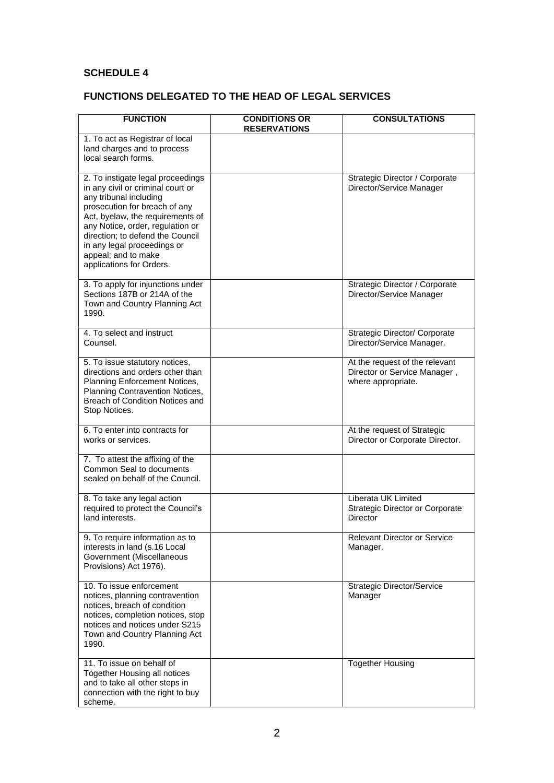## **SCHEDULE 4**

## **FUNCTIONS DELEGATED TO THE HEAD OF LEGAL SERVICES**

| <b>FUNCTION</b>                                                                                                                                                                                                                                                                                                                 | <b>CONDITIONS OR</b><br><b>RESERVATIONS</b> | <b>CONSULTATIONS</b>                                                                 |
|---------------------------------------------------------------------------------------------------------------------------------------------------------------------------------------------------------------------------------------------------------------------------------------------------------------------------------|---------------------------------------------|--------------------------------------------------------------------------------------|
| 1. To act as Registrar of local<br>land charges and to process<br>local search forms.                                                                                                                                                                                                                                           |                                             |                                                                                      |
| 2. To instigate legal proceedings<br>in any civil or criminal court or<br>any tribunal including<br>prosecution for breach of any<br>Act, byelaw, the requirements of<br>any Notice, order, regulation or<br>direction; to defend the Council<br>in any legal proceedings or<br>appeal; and to make<br>applications for Orders. |                                             | Strategic Director / Corporate<br>Director/Service Manager                           |
| 3. To apply for injunctions under<br>Sections 187B or 214A of the<br>Town and Country Planning Act<br>1990.                                                                                                                                                                                                                     |                                             | Strategic Director / Corporate<br>Director/Service Manager                           |
| 4. To select and instruct<br>Counsel.                                                                                                                                                                                                                                                                                           |                                             | Strategic Director/ Corporate<br>Director/Service Manager.                           |
| 5. To issue statutory notices,<br>directions and orders other than<br>Planning Enforcement Notices,<br>Planning Contravention Notices,<br>Breach of Condition Notices and<br>Stop Notices.                                                                                                                                      |                                             | At the request of the relevant<br>Director or Service Manager,<br>where appropriate. |
| 6. To enter into contracts for<br>works or services.                                                                                                                                                                                                                                                                            |                                             | At the request of Strategic<br>Director or Corporate Director.                       |
| 7. To attest the affixing of the<br>Common Seal to documents<br>sealed on behalf of the Council.                                                                                                                                                                                                                                |                                             |                                                                                      |
| 8. To take any legal action<br>required to protect the Council's<br>land interests.                                                                                                                                                                                                                                             |                                             | Liberata UK Limited<br><b>Strategic Director or Corporate</b><br>Director            |
| 9. To require information as to<br>interests in land (s.16 Local<br>Government (Miscellaneous<br>Provisions) Act 1976).                                                                                                                                                                                                         |                                             | <b>Relevant Director or Service</b><br>Manager.                                      |
| 10. To issue enforcement<br>notices, planning contravention<br>notices, breach of condition<br>notices, completion notices, stop<br>notices and notices under S215<br>Town and Country Planning Act<br>1990.                                                                                                                    |                                             | <b>Strategic Director/Service</b><br>Manager                                         |
| 11. To issue on behalf of<br>Together Housing all notices<br>and to take all other steps in<br>connection with the right to buy<br>scheme.                                                                                                                                                                                      |                                             | <b>Together Housing</b>                                                              |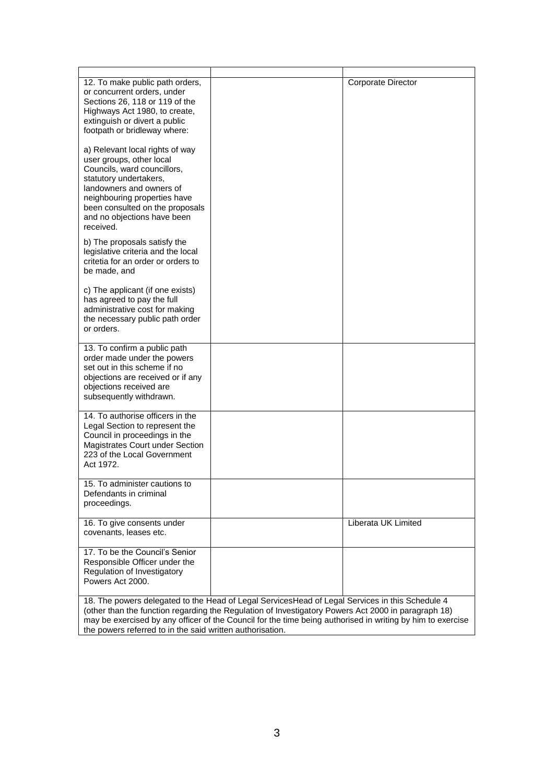| 12. To make public path orders,<br>or concurrent orders, under<br>Sections 26, 118 or 119 of the<br>Highways Act 1980, to create,<br>extinguish or divert a public<br>footpath or bridleway where:                                                              |                                                                                                                                                                                                        | Corporate Director  |
|-----------------------------------------------------------------------------------------------------------------------------------------------------------------------------------------------------------------------------------------------------------------|--------------------------------------------------------------------------------------------------------------------------------------------------------------------------------------------------------|---------------------|
| a) Relevant local rights of way<br>user groups, other local<br>Councils, ward councillors,<br>statutory undertakers,<br>landowners and owners of<br>neighbouring properties have<br>been consulted on the proposals<br>and no objections have been<br>received. |                                                                                                                                                                                                        |                     |
| b) The proposals satisfy the<br>legislative criteria and the local<br>critetia for an order or orders to<br>be made, and                                                                                                                                        |                                                                                                                                                                                                        |                     |
| c) The applicant (if one exists)<br>has agreed to pay the full<br>administrative cost for making<br>the necessary public path order<br>or orders.                                                                                                               |                                                                                                                                                                                                        |                     |
| 13. To confirm a public path<br>order made under the powers<br>set out in this scheme if no<br>objections are received or if any<br>objections received are<br>subsequently withdrawn.                                                                          |                                                                                                                                                                                                        |                     |
| 14. To authorise officers in the<br>Legal Section to represent the<br>Council in proceedings in the<br>Magistrates Court under Section<br>223 of the Local Government<br>Act 1972.                                                                              |                                                                                                                                                                                                        |                     |
| 15. To administer cautions to<br>Defendants in criminal<br>proceedings.                                                                                                                                                                                         |                                                                                                                                                                                                        |                     |
| 16. To give consents under<br>covenants, leases etc.                                                                                                                                                                                                            |                                                                                                                                                                                                        | Liberata UK Limited |
| 17. To be the Council's Senior<br>Responsible Officer under the<br>Regulation of Investigatory<br>Powers Act 2000.                                                                                                                                              |                                                                                                                                                                                                        |                     |
|                                                                                                                                                                                                                                                                 | 18. The powers delegated to the Head of Legal ServicesHead of Legal Services in this Schedule 4<br>(other than the function regarding the Regulation of Investigatory Powers Act 2000 in paragraph 18) |                     |

(other than the function regarding the Regulation of Investigatory Powers Act 2000 in paragraph 18) may be exercised by any officer of the Council for the time being authorised in writing by him to exercise the powers referred to in the said written authorisation.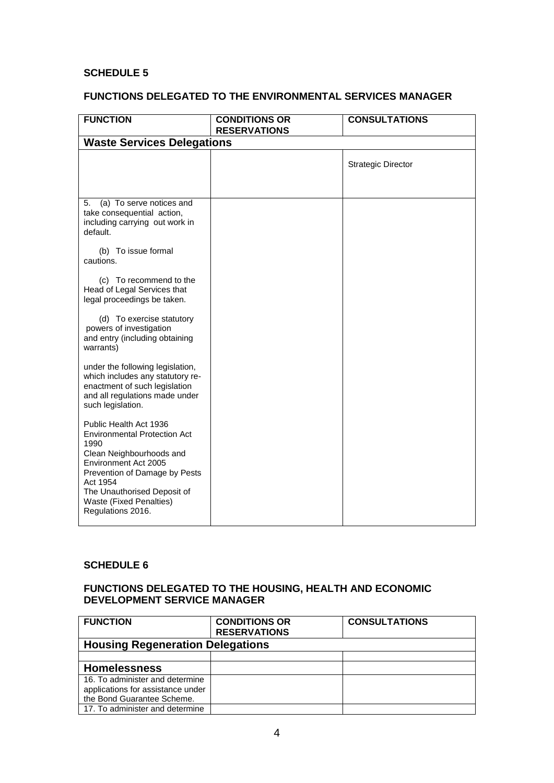### **SCHEDULE 5**

### **FUNCTIONS DELEGATED TO THE ENVIRONMENTAL SERVICES MANAGER**

| <b>FUNCTION</b>                                                                                                                                                                                                                                       | <b>CONDITIONS OR</b><br><b>RESERVATIONS</b> | <b>CONSULTATIONS</b>      |
|-------------------------------------------------------------------------------------------------------------------------------------------------------------------------------------------------------------------------------------------------------|---------------------------------------------|---------------------------|
| <b>Waste Services Delegations</b>                                                                                                                                                                                                                     |                                             |                           |
|                                                                                                                                                                                                                                                       |                                             | <b>Strategic Director</b> |
| (a) To serve notices and<br>5.<br>take consequential action,<br>including carrying out work in<br>default.                                                                                                                                            |                                             |                           |
| (b) To issue formal<br>cautions.                                                                                                                                                                                                                      |                                             |                           |
| (c) To recommend to the<br>Head of Legal Services that<br>legal proceedings be taken.                                                                                                                                                                 |                                             |                           |
| (d) To exercise statutory<br>powers of investigation<br>and entry (including obtaining<br>warrants)                                                                                                                                                   |                                             |                           |
| under the following legislation,<br>which includes any statutory re-<br>enactment of such legislation<br>and all regulations made under<br>such legislation.                                                                                          |                                             |                           |
| Public Health Act 1936<br><b>Environmental Protection Act</b><br>1990<br>Clean Neighbourhoods and<br>Environment Act 2005<br>Prevention of Damage by Pests<br>Act 1954<br>The Unauthorised Deposit of<br>Waste (Fixed Penalties)<br>Regulations 2016. |                                             |                           |

#### **SCHEDULE 6**

#### **FUNCTIONS DELEGATED TO THE HOUSING, HEALTH AND ECONOMIC DEVELOPMENT SERVICE MANAGER**

| <b>FUNCTION</b>                         | <b>CONDITIONS OR</b><br><b>RESERVATIONS</b> | <b>CONSULTATIONS</b> |
|-----------------------------------------|---------------------------------------------|----------------------|
| <b>Housing Regeneration Delegations</b> |                                             |                      |
|                                         |                                             |                      |
| <b>Homelessness</b>                     |                                             |                      |
| 16. To administer and determine         |                                             |                      |
| applications for assistance under       |                                             |                      |
| the Bond Guarantee Scheme.              |                                             |                      |
| 17. To administer and determine         |                                             |                      |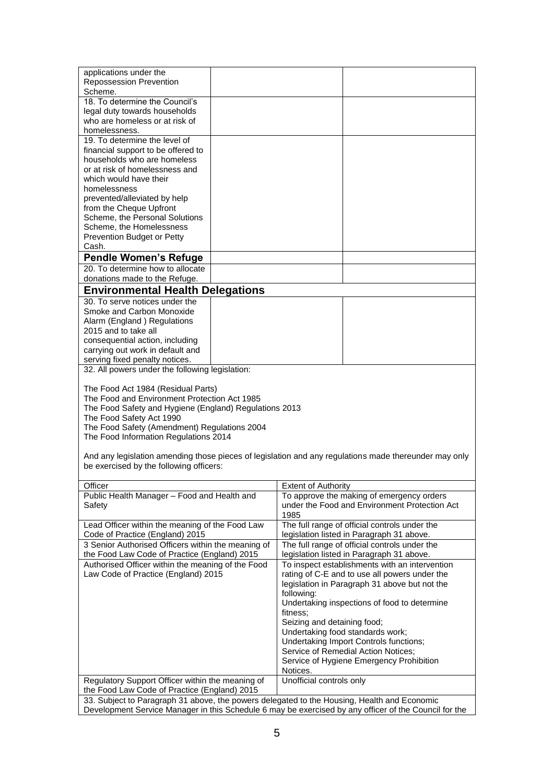| applications under the<br><b>Repossession Prevention</b><br>Scheme.                                                                                                                                  |  |                             |                                                                                            |
|------------------------------------------------------------------------------------------------------------------------------------------------------------------------------------------------------|--|-----------------------------|--------------------------------------------------------------------------------------------|
| 18. To determine the Council's<br>legal duty towards households<br>who are homeless or at risk of<br>homelessness.                                                                                   |  |                             |                                                                                            |
| 19. To determine the level of                                                                                                                                                                        |  |                             |                                                                                            |
| financial support to be offered to                                                                                                                                                                   |  |                             |                                                                                            |
| households who are homeless<br>or at risk of homelessness and                                                                                                                                        |  |                             |                                                                                            |
| which would have their                                                                                                                                                                               |  |                             |                                                                                            |
| homelessness                                                                                                                                                                                         |  |                             |                                                                                            |
| prevented/alleviated by help<br>from the Cheque Upfront                                                                                                                                              |  |                             |                                                                                            |
| Scheme, the Personal Solutions                                                                                                                                                                       |  |                             |                                                                                            |
| Scheme, the Homelessness                                                                                                                                                                             |  |                             |                                                                                            |
| Prevention Budget or Petty<br>Cash.                                                                                                                                                                  |  |                             |                                                                                            |
| <b>Pendle Women's Refuge</b>                                                                                                                                                                         |  |                             |                                                                                            |
| 20. To determine how to allocate                                                                                                                                                                     |  |                             |                                                                                            |
| donations made to the Refuge.                                                                                                                                                                        |  |                             |                                                                                            |
| <b>Environmental Health Delegations</b>                                                                                                                                                              |  |                             |                                                                                            |
| 30. To serve notices under the<br>Smoke and Carbon Monoxide                                                                                                                                          |  |                             |                                                                                            |
| Alarm (England) Regulations                                                                                                                                                                          |  |                             |                                                                                            |
| 2015 and to take all                                                                                                                                                                                 |  |                             |                                                                                            |
| consequential action, including<br>carrying out work in default and                                                                                                                                  |  |                             |                                                                                            |
| serving fixed penalty notices.                                                                                                                                                                       |  |                             |                                                                                            |
| 32. All powers under the following legislation:                                                                                                                                                      |  |                             |                                                                                            |
| The Food Act 1984 (Residual Parts)                                                                                                                                                                   |  |                             |                                                                                            |
| The Food and Environment Protection Act 1985                                                                                                                                                         |  |                             |                                                                                            |
| The Food Safety and Hygiene (England) Regulations 2013                                                                                                                                               |  |                             |                                                                                            |
| The Food Safety Act 1990<br>The Food Safety (Amendment) Regulations 2004                                                                                                                             |  |                             |                                                                                            |
| The Food Information Regulations 2014                                                                                                                                                                |  |                             |                                                                                            |
| And any legislation amending those pieces of legislation and any regulations made thereunder may only                                                                                                |  |                             |                                                                                            |
| be exercised by the following officers:                                                                                                                                                              |  |                             |                                                                                            |
| Officer                                                                                                                                                                                              |  | <b>Extent of Authority</b>  |                                                                                            |
| Public Health Manager - Food and Health and                                                                                                                                                          |  |                             | To approve the making of emergency orders                                                  |
| Safety                                                                                                                                                                                               |  | 1985                        | under the Food and Environment Protection Act                                              |
| Lead Officer within the meaning of the Food Law                                                                                                                                                      |  |                             | The full range of official controls under the                                              |
| Code of Practice (England) 2015                                                                                                                                                                      |  |                             | legislation listed in Paragraph 31 above.                                                  |
| 3 Senior Authorised Officers within the meaning of<br>the Food Law Code of Practice (England) 2015                                                                                                   |  |                             | The full range of official controls under the<br>legislation listed in Paragraph 31 above. |
| Authorised Officer within the meaning of the Food                                                                                                                                                    |  |                             | To inspect establishments with an intervention                                             |
| Law Code of Practice (England) 2015                                                                                                                                                                  |  |                             | rating of C-E and to use all powers under the                                              |
|                                                                                                                                                                                                      |  | following:                  | legislation in Paragraph 31 above but not the                                              |
|                                                                                                                                                                                                      |  |                             | Undertaking inspections of food to determine                                               |
|                                                                                                                                                                                                      |  | fitness:                    |                                                                                            |
|                                                                                                                                                                                                      |  | Seizing and detaining food; | Undertaking food standards work;                                                           |
|                                                                                                                                                                                                      |  |                             | Undertaking Import Controls functions;                                                     |
|                                                                                                                                                                                                      |  |                             | Service of Remedial Action Notices;                                                        |
|                                                                                                                                                                                                      |  | Notices.                    | Service of Hygiene Emergency Prohibition                                                   |
| Regulatory Support Officer within the meaning of                                                                                                                                                     |  | Unofficial controls only    |                                                                                            |
| the Food Law Code of Practice (England) 2015                                                                                                                                                         |  |                             |                                                                                            |
| 33. Subject to Paragraph 31 above, the powers delegated to the Housing, Health and Economic<br>Development Service Manager in this Schedule 6 may be exercised by any officer of the Council for the |  |                             |                                                                                            |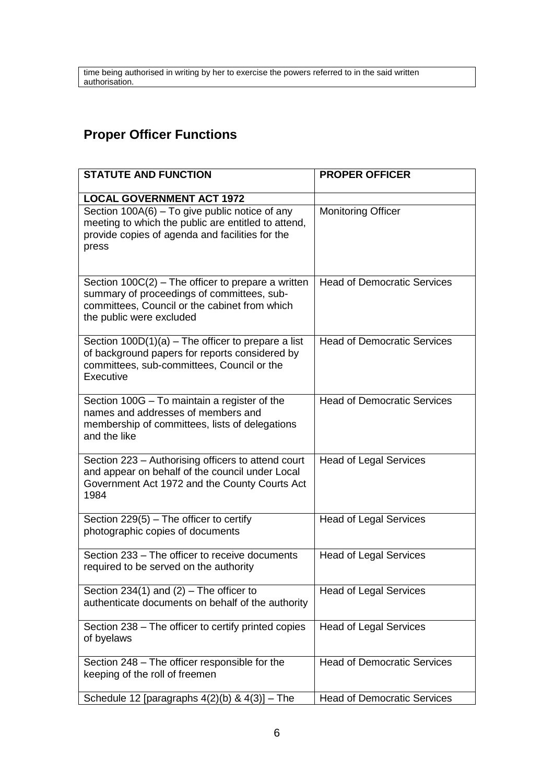time being authorised in writing by her to exercise the powers referred to in the said written authorisation.

# **Proper Officer Functions**

| <b>STATUTE AND FUNCTION</b>                                                                                                                                                     | <b>PROPER OFFICER</b>              |
|---------------------------------------------------------------------------------------------------------------------------------------------------------------------------------|------------------------------------|
| <b>LOCAL GOVERNMENT ACT 1972</b>                                                                                                                                                |                                    |
| Section 100A(6) - To give public notice of any<br>meeting to which the public are entitled to attend,<br>provide copies of agenda and facilities for the<br>press               | <b>Monitoring Officer</b>          |
| Section $100C(2)$ – The officer to prepare a written<br>summary of proceedings of committees, sub-<br>committees, Council or the cabinet from which<br>the public were excluded | <b>Head of Democratic Services</b> |
| Section $100D(1)(a)$ – The officer to prepare a list<br>of background papers for reports considered by<br>committees, sub-committees, Council or the<br>Executive               | <b>Head of Democratic Services</b> |
| Section 100G - To maintain a register of the<br>names and addresses of members and<br>membership of committees, lists of delegations<br>and the like                            | <b>Head of Democratic Services</b> |
| Section 223 - Authorising officers to attend court<br>and appear on behalf of the council under Local<br>Government Act 1972 and the County Courts Act<br>1984                  | <b>Head of Legal Services</b>      |
| Section 229(5) - The officer to certify<br>photographic copies of documents                                                                                                     | <b>Head of Legal Services</b>      |
| Section 233 - The officer to receive documents<br>required to be served on the authority                                                                                        | <b>Head of Legal Services</b>      |
| Section 234(1) and $(2)$ – The officer to<br>authenticate documents on behalf of the authority                                                                                  | <b>Head of Legal Services</b>      |
| Section 238 - The officer to certify printed copies<br>of byelaws                                                                                                               | <b>Head of Legal Services</b>      |
| Section 248 - The officer responsible for the<br>keeping of the roll of freemen                                                                                                 | <b>Head of Democratic Services</b> |
| Schedule 12 [paragraphs $4(2)(b)$ & $4(3)$ ] - The                                                                                                                              | <b>Head of Democratic Services</b> |